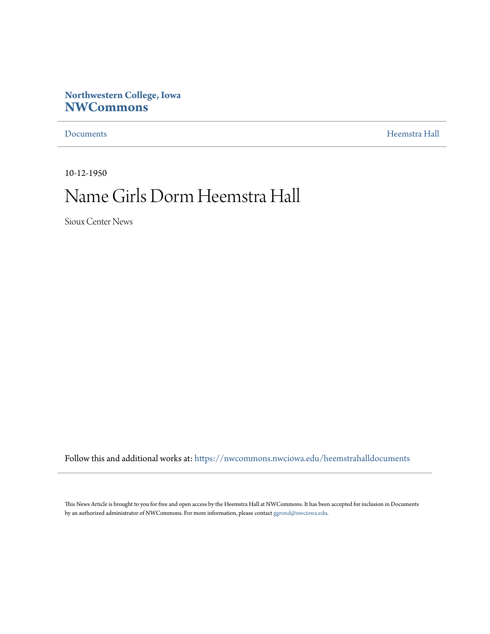# **Northwestern College, Iowa [NWCommons](https://nwcommons.nwciowa.edu?utm_source=nwcommons.nwciowa.edu%2Fheemstrahalldocuments%2F5&utm_medium=PDF&utm_campaign=PDFCoverPages)**

[Documents](https://nwcommons.nwciowa.edu/heemstrahalldocuments?utm_source=nwcommons.nwciowa.edu%2Fheemstrahalldocuments%2F5&utm_medium=PDF&utm_campaign=PDFCoverPages) [Heemstra Hall](https://nwcommons.nwciowa.edu/heemstrahallcollection?utm_source=nwcommons.nwciowa.edu%2Fheemstrahalldocuments%2F5&utm_medium=PDF&utm_campaign=PDFCoverPages)

10-12-1950

# Name Girls Dorm Heemstra Hall

Sioux Center News

Follow this and additional works at: [https://nwcommons.nwciowa.edu/heemstrahalldocuments](https://nwcommons.nwciowa.edu/heemstrahalldocuments?utm_source=nwcommons.nwciowa.edu%2Fheemstrahalldocuments%2F5&utm_medium=PDF&utm_campaign=PDFCoverPages)

This News Article is brought to you for free and open access by the Heemstra Hall at NWCommons. It has been accepted for inclusion in Documents by an authorized administrator of NWCommons. For more information, please contact  $\operatorname{ggrond}(\partial$ nwciowa.edu.